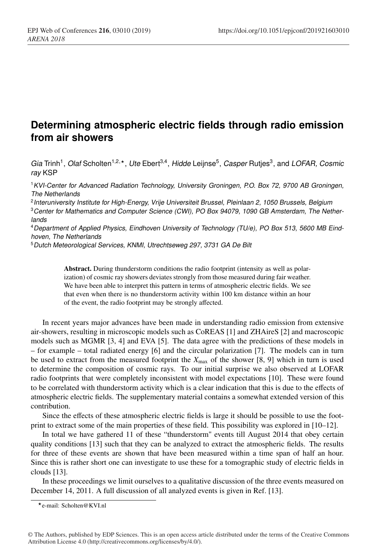## **Determining atmospheric electric fields through radio emission from air showers**

*Gia* Trinh1, *Olaf* Scholten1,2,, *Ute* Ebert3,4, *Hidde* Leijnse5, *Casper* Rutjes3, and *LOFAR, Cosmic ray* KSP

<sup>1</sup>*KVI-Center for Advanced Radiation Technology, University Groningen, P.O. Box 72, 9700 AB Groningen, The Netherlands*

<sup>2</sup>*Interuniversity Institute for High-Energy, Vrije Universiteit Brussel, Pleinlaan 2, 1050 Brussels, Belgium*

<sup>3</sup>*Center for Mathematics and Computer Science (CWI), PO Box 94079, 1090 GB Amsterdam, The Netherlands*

<sup>4</sup>*Department of Applied Physics, Eindhoven University of Technology (TU/e), PO Box 513, 5600 MB Eindhoven, The Netherlands*

<sup>5</sup>*Dutch Meteorological Services, KNMI, Utrechtseweg 297, 3731 GA De Bilt*

Abstract. During thunderstorm conditions the radio footprint (intensity as well as polarization) of cosmic ray showers deviates strongly from those measured during fair weather. We have been able to interpret this pattern in terms of atmospheric electric fields. We see that even when there is no thunderstorm activity within 100 km distance within an hour of the event, the radio footprint may be strongly affected.

In recent years major advances have been made in understanding radio emission from extensive air-showers, resulting in microscopic models such as CoREAS [1] and ZHAireS [2] and macroscopic models such as MGMR [3, 4] and EVA [5]. The data agree with the predictions of these models in – for example – total radiated energy [6] and the circular polarization [7]. The models can in turn be used to extract from the measured footprint the  $X_{\text{max}}$  of the shower [8, 9] which in turn is used to determine the composition of cosmic rays. To our initial surprise we also observed at LOFAR radio footprints that were completely inconsistent with model expectations [10]. These were found to be correlated with thunderstorm activity which is a clear indication that this is due to the effects of atmospheric electric fields. The supplementary material contains a somewhat extended version of this contribution.

Since the effects of these atmospheric electric fields is large it should be possible to use the footprint to extract some of the main properties of these field. This possibility was explored in [10–12].

In total we have gathered 11 of these "thunderstorm" events till August 2014 that obey certain quality conditions [13] such that they can be analyzed to extract the atmospheric fields. The results for three of these events are shown that have been measured within a time span of half an hour. Since this is rather short one can investigate to use these for a tomographic study of electric fields in clouds [13].

In these proceedings we limit ourselves to a qualitative discussion of the three events measured on December 14, 2011. A full discussion of all analyzed events is given in Ref. [13].

e-mail: Scholten@KVI.nl

<sup>©</sup> The Authors, published by EDP Sciences. This is an open access article distributed under the terms of the Creative Commons Attribution License 4.0 (http://creativecommons.org/licenses/by/4.0/).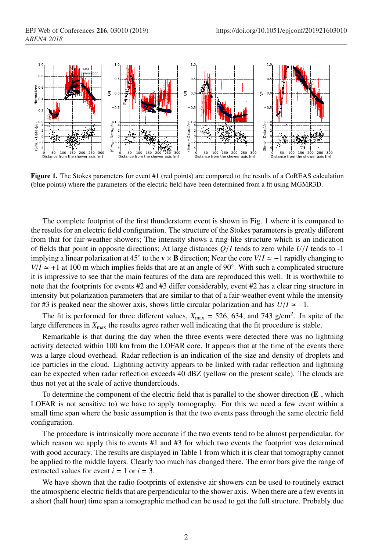

Figure 1. The Stokes parameters for event #1 (red points) are compared to the results of a CoREAS calculation (blue points) where the parameters of the electric field have been determined from a fit using MGMR3D.

The complete footprint of the first thunderstorm event is shown in Fig. 1 where it is compared to the results for an electric field configuration. The structure of the Stokes parameters is greatly different from that for fair-weather showers; The intensity shows a ring-like structure which is an indication of fields that point in opposite directions; At large distances *Q*/*I* tends to zero while *U*/*I* tends to -1 implying a linear polarization at 45° to the  $v \times B$  direction; Near the core  $V/I \approx -1$  rapidly changing to  $V/I \approx +1$  at 100 m which implies fields that are at an angle of 90°. With such a complicated structure it is impressive to see that the main features of the data are reproduced this well. It is worthwhile to note that the footprints for events #2 and #3 differ considerably, event #2 has a clear ring structure in intensity but polarization parameters that are similar to that of a fair-weather event while the intensity for #3 is peaked near the shower axis, shows little circular polarization and has  $U/I \approx -1$ .

The fit is performed for three different values,  $X_{\text{max}} = 526, 634,$  and 743 g/cm<sup>2</sup>. In spite of the large differences in  $X_{\text{max}}$  the results agree rather well indicating that the fit procedure is stable.

Remarkable is that during the day when the three events were detected there was no lightning activity detected within 100 km from the LOFAR core. It appears that at the time of the events there was a large cloud overhead. Radar reflection is an indication of the size and density of droplets and ice particles in the cloud. Lightning activity appears to be linked with radar reflection and lightning can be expected when radar reflection exceeds 40 dBZ (yellow on the present scale). The clouds are thus not yet at the scale of active thunderclouds.

To determine the component of the electric field that is parallel to the shower direction  $(\mathbf{E}_{\parallel}, \text{which})$ LOFAR is not sensitive to) we have to apply tomography. For this we need a few event within a small time span where the basic assumption is that the two events pass through the same electric field configuration.

The procedure is intrinsically more accurate if the two events tend to be almost perpendicular, for which reason we apply this to events #1 and #3 for which two events the footprint was determined with good accuracy. The results are displayed in Table 1 from which it is clear that tomography cannot be applied to the middle layers. Clearly too much has changed there. The error bars give the range of extracted values for event  $i = 1$  or  $i = 3$ .

We have shown that the radio footprints of extensive air showers can be used to routinely extract the atmospheric electric fields that are perpendicular to the shower axis. When there are a few events in a short (half hour) time span a tomographic method can be used to get the full structure. Probably due